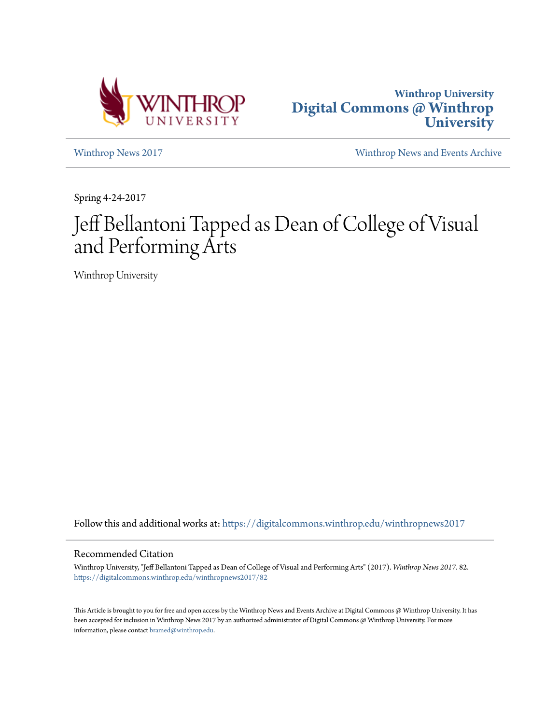



[Winthrop News 2017](https://digitalcommons.winthrop.edu/winthropnews2017?utm_source=digitalcommons.winthrop.edu%2Fwinthropnews2017%2F82&utm_medium=PDF&utm_campaign=PDFCoverPages) [Winthrop News and Events Archive](https://digitalcommons.winthrop.edu/winthropnewsarchives?utm_source=digitalcommons.winthrop.edu%2Fwinthropnews2017%2F82&utm_medium=PDF&utm_campaign=PDFCoverPages)

Spring 4-24-2017

## Jeff Bellantoni Tapped as Dean of College of Visual and Performing Arts

Winthrop University

Follow this and additional works at: [https://digitalcommons.winthrop.edu/winthropnews2017](https://digitalcommons.winthrop.edu/winthropnews2017?utm_source=digitalcommons.winthrop.edu%2Fwinthropnews2017%2F82&utm_medium=PDF&utm_campaign=PDFCoverPages)

### Recommended Citation

Winthrop University, "Jeff Bellantoni Tapped as Dean of College of Visual and Performing Arts" (2017). *Winthrop News 2017*. 82. [https://digitalcommons.winthrop.edu/winthropnews2017/82](https://digitalcommons.winthrop.edu/winthropnews2017/82?utm_source=digitalcommons.winthrop.edu%2Fwinthropnews2017%2F82&utm_medium=PDF&utm_campaign=PDFCoverPages)

This Article is brought to you for free and open access by the Winthrop News and Events Archive at Digital Commons @ Winthrop University. It has been accepted for inclusion in Winthrop News 2017 by an authorized administrator of Digital Commons @ Winthrop University. For more information, please contact [bramed@winthrop.edu](mailto:bramed@winthrop.edu).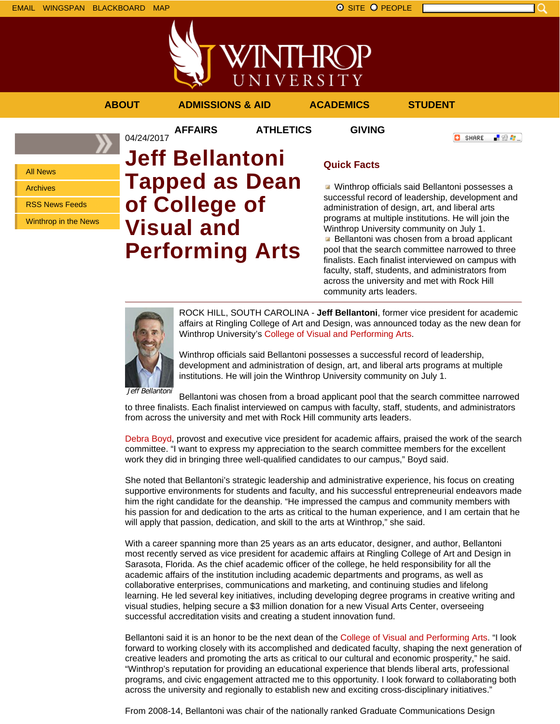

## **ABOUT ADMISSIONS & AID ACADEMICS STUDENT**

04/24/2017

**AFFAIRS ATHLETICS GIVING**

```
「验費」
O SHARE
```
All News Archives RSS News Feeds

Winthrop in the News

# **Jeff Bellantoni Tapped as Dean of College of Visual and Performing Arts**

## **Quick Facts**

Winthrop officials said Bellantoni possesses a successful record of leadership, development and administration of design, art, and liberal arts programs at multiple institutions. He will join the Winthrop University community on July 1. **Bellantoni was chosen from a broad applicant** pool that the search committee narrowed to three finalists. Each finalist interviewed on campus with faculty, staff, students, and administrators from across the university and met with Rock Hill community arts leaders.



ROCK HILL, SOUTH CAROLINA - **Jeff Bellantoni**, former vice president for academic affairs at Ringling College of Art and Design, was announced today as the new dean for Winthrop University's College of Visual and Performing Arts.

Winthrop officials said Bellantoni possesses a successful record of leadership, development and administration of design, art, and liberal arts programs at multiple institutions. He will join the Winthrop University community on July 1.

Jeff Bellantoni

Bellantoni was chosen from a broad applicant pool that the search committee narrowed to three finalists. Each finalist interviewed on campus with faculty, staff, students, and administrators from across the university and met with Rock Hill community arts leaders.

Debra Boyd, provost and executive vice president for academic affairs, praised the work of the search committee. "I want to express my appreciation to the search committee members for the excellent work they did in bringing three well-qualified candidates to our campus," Boyd said.

She noted that Bellantoni's strategic leadership and administrative experience, his focus on creating supportive environments for students and faculty, and his successful entrepreneurial endeavors made him the right candidate for the deanship. "He impressed the campus and community members with his passion for and dedication to the arts as critical to the human experience, and I am certain that he will apply that passion, dedication, and skill to the arts at Winthrop," she said.

With a career spanning more than 25 years as an arts educator, designer, and author, Bellantoni most recently served as vice president for academic affairs at Ringling College of Art and Design in Sarasota, Florida. As the chief academic officer of the college, he held responsibility for all the academic affairs of the institution including academic departments and programs, as well as collaborative enterprises, communications and marketing, and continuing studies and lifelong learning. He led several key initiatives, including developing degree programs in creative writing and visual studies, helping secure a \$3 million donation for a new Visual Arts Center, overseeing successful accreditation visits and creating a student innovation fund.

Bellantoni said it is an honor to be the next dean of the College of Visual and Performing Arts. "I look forward to working closely with its accomplished and dedicated faculty, shaping the next generation of creative leaders and promoting the arts as critical to our cultural and economic prosperity," he said. "Winthrop's reputation for providing an educational experience that blends liberal arts, professional programs, and civic engagement attracted me to this opportunity. I look forward to collaborating both across the university and regionally to establish new and exciting cross-disciplinary initiatives."

From 2008-14, Bellantoni was chair of the nationally ranked Graduate Communications Design